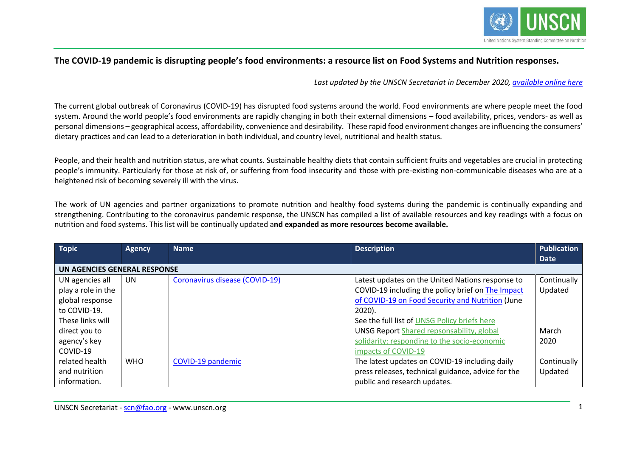

# **The COVID-19 pandemic is disrupting people's food environments: a resource list on Food Systems and Nutrition responses.**

*Last updated by the UNSCN Secretariat in December 2020, [available online here](https://www.unscn.org/en/news-events/recent-news?idnews=2039)*

The current global outbreak of Coronavirus (COVID-19) has disrupted food systems around the world. Food environments are where people meet the food system. Around the world people's food environments are rapidly changing in both their external dimensions – food availability, prices, vendors- as well as personal dimensions – geographical access, affordability, convenience and desirability. These rapid food environment changes are influencing the consumers' dietary practices and can lead to a deterioration in both individual, and country level, nutritional and health status.

People, and their health and nutrition status, are what counts. Sustainable healthy diets that contain sufficient fruits and vegetables are crucial in protecting people's immunity. Particularly for those at risk of, or suffering from food insecurity and those with pre-existing non-communicable diseases who are at a heightened risk of becoming severely ill with the virus.

The work of UN agencies and partner organizations to promote nutrition and healthy food systems during the pandemic is continually expanding and strengthening. Contributing to the coronavirus pandemic response, the UNSCN has compiled a list of available resources and key readings with a focus on nutrition and food systems. This list will be continually updated a**nd expanded as more resources become available.**

| <b>Topic</b>                 | <b>Agency</b> | <b>Name</b>                    | <b>Description</b>                                 | <b>Publication</b> |
|------------------------------|---------------|--------------------------------|----------------------------------------------------|--------------------|
|                              |               |                                |                                                    | <b>Date</b>        |
| UN AGENCIES GENERAL RESPONSE |               |                                |                                                    |                    |
| UN agencies all              | UN.           | Coronavirus disease (COVID-19) | Latest updates on the United Nations response to   | Continually        |
| play a role in the           |               |                                | COVID-19 including the policy brief on The Impact  | Updated            |
| global response              |               |                                | of COVID-19 on Food Security and Nutrition (June   |                    |
| to COVID-19.                 |               |                                | $2020$ ).                                          |                    |
| These links will             |               |                                | See the full list of UNSG Policy briefs here       |                    |
| direct you to                |               |                                | <b>UNSG Report Shared repsonsability, global</b>   | March              |
| agency's key                 |               |                                | solidarity: responding to the socio-economic       | 2020               |
| COVID-19                     |               |                                | impacts of COVID-19                                |                    |
| related health               | <b>WHO</b>    | COVID-19 pandemic              | The latest updates on COVID-19 including daily     | Continually        |
| and nutrition                |               |                                | press releases, technical guidance, advice for the | Updated            |
| information.                 |               |                                | public and research updates.                       |                    |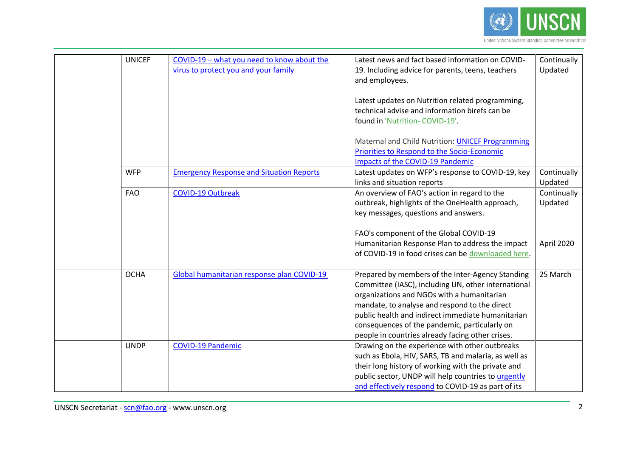

| <b>UNICEF</b> | COVID-19 - what you need to know about the<br>virus to protect you and your family | Latest news and fact based information on COVID-<br>19. Including advice for parents, teens, teachers<br>and employees.<br>Latest updates on Nutrition related programming,<br>technical advise and information birefs can be                                                                                                                                    | Continually<br>Updated |
|---------------|------------------------------------------------------------------------------------|------------------------------------------------------------------------------------------------------------------------------------------------------------------------------------------------------------------------------------------------------------------------------------------------------------------------------------------------------------------|------------------------|
| <b>WFP</b>    | <b>Emergency Response and Situation Reports</b>                                    | found in 'Nutrition-COVID-19'.<br>Maternal and Child Nutrition: UNICEF Programming<br>Priorities to Respond to the Socio-Economic<br>Impacts of the COVID-19 Pandemic<br>Latest updates on WFP's response to COVID-19, key                                                                                                                                       | Continually            |
|               |                                                                                    | links and situation reports                                                                                                                                                                                                                                                                                                                                      | Updated                |
| <b>FAO</b>    | <b>COVID-19 Outbreak</b>                                                           | An overview of FAO's action in regard to the<br>outbreak, highlights of the OneHealth approach,<br>key messages, questions and answers.                                                                                                                                                                                                                          | Continually<br>Updated |
|               |                                                                                    | FAO's component of the Global COVID-19<br>Humanitarian Response Plan to address the impact<br>of COVID-19 in food crises can be downloaded here.                                                                                                                                                                                                                 | April 2020             |
| <b>OCHA</b>   | Global humanitarian response plan COVID-19                                         | Prepared by members of the Inter-Agency Standing<br>Committee (IASC), including UN, other international<br>organizations and NGOs with a humanitarian<br>mandate, to analyse and respond to the direct<br>public health and indirect immediate humanitarian<br>consequences of the pandemic, particularly on<br>people in countries already facing other crises. | 25 March               |
| <b>UNDP</b>   | <b>COVID-19 Pandemic</b>                                                           | Drawing on the experience with other outbreaks<br>such as Ebola, HIV, SARS, TB and malaria, as well as<br>their long history of working with the private and<br>public sector, UNDP will help countries to urgently<br>and effectively respond to COVID-19 as part of its                                                                                        |                        |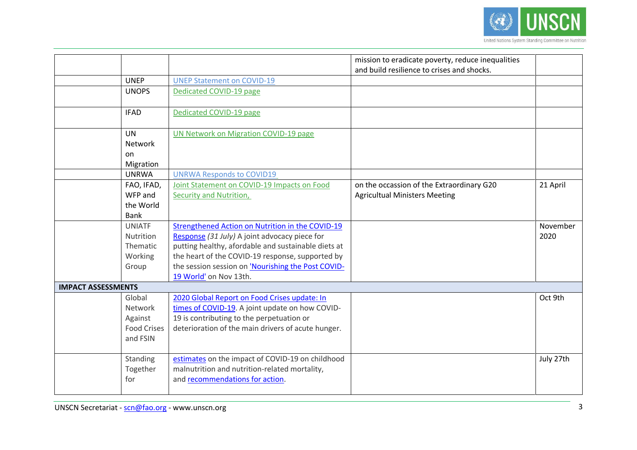

|                           |                    |                                                     | mission to eradicate poverty, reduce inequalities<br>and build resilience to crises and shocks. |           |
|---------------------------|--------------------|-----------------------------------------------------|-------------------------------------------------------------------------------------------------|-----------|
|                           | <b>UNEP</b>        | <b>UNEP Statement on COVID-19</b>                   |                                                                                                 |           |
|                           | <b>UNOPS</b>       | Dedicated COVID-19 page                             |                                                                                                 |           |
|                           | <b>IFAD</b>        | Dedicated COVID-19 page                             |                                                                                                 |           |
|                           | <b>UN</b>          | <b>UN Network on Migration COVID-19 page</b>        |                                                                                                 |           |
|                           | Network            |                                                     |                                                                                                 |           |
|                           | on.                |                                                     |                                                                                                 |           |
|                           | Migration          |                                                     |                                                                                                 |           |
|                           | <b>UNRWA</b>       | <b>UNRWA Responds to COVID19</b>                    |                                                                                                 |           |
|                           | FAO, IFAD,         | Joint Statement on COVID-19 Impacts on Food         | on the occassion of the Extraordinary G20                                                       | 21 April  |
|                           | WFP and            | Security and Nutrition,                             | <b>Agricultual Ministers Meeting</b>                                                            |           |
|                           | the World          |                                                     |                                                                                                 |           |
|                           | <b>Bank</b>        |                                                     |                                                                                                 |           |
|                           | <b>UNIATF</b>      | Strengthened Action on Nutrition in the COVID-19    |                                                                                                 | November  |
|                           | <b>Nutrition</b>   | Response (31 July) A joint advocacy piece for       |                                                                                                 | 2020      |
|                           | Thematic           | putting healthy, afordable and sustainable diets at |                                                                                                 |           |
|                           | Working            | the heart of the COVID-19 response, supported by    |                                                                                                 |           |
|                           | Group              | the session session on 'Nourishing the Post COVID-  |                                                                                                 |           |
|                           |                    | 19 World' on Nov 13th.                              |                                                                                                 |           |
| <b>IMPACT ASSESSMENTS</b> |                    |                                                     |                                                                                                 |           |
|                           | Global             | 2020 Global Report on Food Crises update: In        |                                                                                                 | Oct 9th   |
|                           | Network            | times of COVID-19. A joint update on how COVID-     |                                                                                                 |           |
|                           | Against            | 19 is contributing to the perpetuation or           |                                                                                                 |           |
|                           | <b>Food Crises</b> | deterioration of the main drivers of acute hunger.  |                                                                                                 |           |
|                           | and FSIN           |                                                     |                                                                                                 |           |
|                           |                    |                                                     |                                                                                                 |           |
|                           | Standing           | estimates on the impact of COVID-19 on childhood    |                                                                                                 | July 27th |
|                           | Together           | malnutrition and nutrition-related mortality,       |                                                                                                 |           |
|                           | for                | and recommendations for action.                     |                                                                                                 |           |
|                           |                    |                                                     |                                                                                                 |           |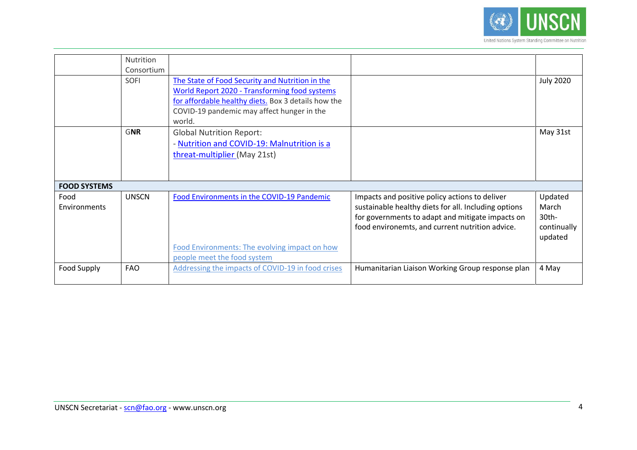

|                      | <b>Nutrition</b><br>Consortium |                                                                                                                                                                                                                 |                                                                                                                                                                                                               |                                                                |
|----------------------|--------------------------------|-----------------------------------------------------------------------------------------------------------------------------------------------------------------------------------------------------------------|---------------------------------------------------------------------------------------------------------------------------------------------------------------------------------------------------------------|----------------------------------------------------------------|
|                      | SOFI                           | The State of Food Security and Nutrition in the<br>World Report 2020 - Transforming food systems<br>for affordable healthy diets. Box 3 details how the<br>COVID-19 pandemic may affect hunger in the<br>world. |                                                                                                                                                                                                               | <b>July 2020</b>                                               |
|                      | <b>GNR</b>                     | <b>Global Nutrition Report:</b><br>- Nutrition and COVID-19: Malnutrition is a<br>threat-multiplier (May 21st)                                                                                                  |                                                                                                                                                                                                               | May 31st                                                       |
| <b>FOOD SYSTEMS</b>  |                                |                                                                                                                                                                                                                 |                                                                                                                                                                                                               |                                                                |
| Food<br>Environments | <b>UNSCN</b>                   | Food Environments in the COVID-19 Pandemic<br>Food Environments: The evolving impact on how<br>people meet the food system                                                                                      | Impacts and positive policy actions to deliver<br>sustainable healthy diets for all. Including options<br>for governments to adapt and mitigate impacts on<br>food environemts, and current nutrition advice. | Updated<br>March<br>30 <sub>th</sub><br>continually<br>updated |
| Food Supply          | <b>FAO</b>                     | Addressing the impacts of COVID-19 in food crises                                                                                                                                                               | Humanitarian Liaison Working Group response plan                                                                                                                                                              | 4 May                                                          |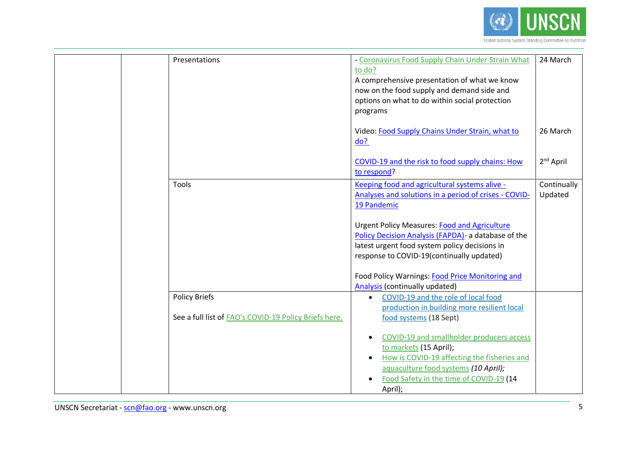

| Presentations                                         | - Coronavirus Food Supply Chain Under Strain What                     | 24 March              |
|-------------------------------------------------------|-----------------------------------------------------------------------|-----------------------|
|                                                       | to do?                                                                |                       |
|                                                       | A comprehensive presentation of what we know                          |                       |
|                                                       | now on the food supply and demand side and                            |                       |
|                                                       | options on what to do within social protection                        |                       |
|                                                       | programs                                                              |                       |
|                                                       |                                                                       |                       |
|                                                       | Video: Food Supply Chains Under Strain, what to                       | 26 March              |
|                                                       | do?                                                                   |                       |
|                                                       |                                                                       |                       |
|                                                       | COVID-19 and the risk to food supply chains: How<br>to respond?       | 2 <sup>nd</sup> April |
|                                                       |                                                                       |                       |
| Tools                                                 | Keeping food and agricultural systems alive -                         | Continually           |
|                                                       | Analyses and solutions in a period of crises - COVID-<br>19 Pandemic  | Updated               |
|                                                       |                                                                       |                       |
|                                                       | <b>Urgent Policy Measures: Food and Agriculture</b>                   |                       |
|                                                       | Policy Decision Analysis (FAPDA) - a database of the                  |                       |
|                                                       | latest urgent food system policy decisions in                         |                       |
|                                                       | response to COVID-19(continually updated)                             |                       |
|                                                       |                                                                       |                       |
|                                                       | Food Policy Warnings: Food Price Monitoring and                       |                       |
|                                                       | <b>Analysis (continually updated)</b>                                 |                       |
| <b>Policy Briefs</b>                                  | COVID-19 and the role of local food<br>$\bullet$                      |                       |
| See a full list of FAO's COVID-19 Policy Briefs here. | production in building more resilient local<br>food systems (18 Sept) |                       |
|                                                       |                                                                       |                       |
|                                                       | COVID-19 and smallholder producers access<br>$\bullet$                |                       |
|                                                       | to markets (15 April);                                                |                       |
|                                                       | How is COVID-19 affecting the fisheries and<br>$\bullet$              |                       |
|                                                       | aquaculture food systems (10 April);                                  |                       |
|                                                       | Food Safety in the time of COVID-19 (14<br>$\bullet$                  |                       |
|                                                       | April);                                                               |                       |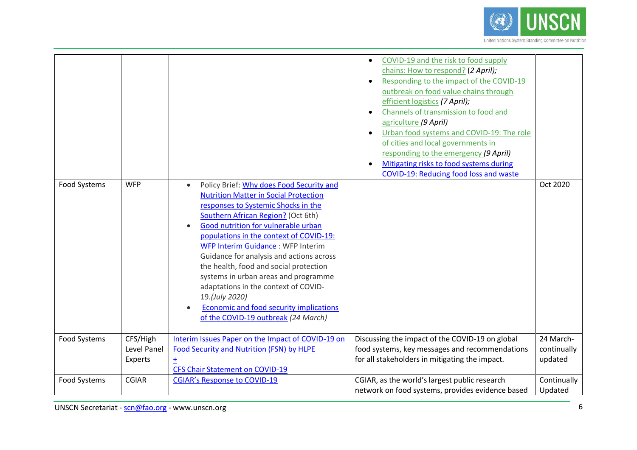

| <b>Food Systems</b> | <b>WFP</b>                         | Policy Brief: Why does Food Security and<br>$\bullet$<br><b>Nutrition Matter in Social Protection</b><br>responses to Systemic Shocks in the<br>Southern African Region? (Oct 6th)<br><b>Good nutrition for vulnerable urban</b><br>populations in the context of COVID-19:<br><b>WFP Interim Guidance: WFP Interim</b><br>Guidance for analysis and actions across<br>the health, food and social protection<br>systems in urban areas and programme<br>adaptations in the context of COVID-<br>19.(July 2020)<br>Economic and food security implications<br>of the COVID-19 outbreak (24 March) | COVID-19 and the risk to food supply<br>$\bullet$<br>chains: How to respond? (2 April);<br>Responding to the impact of the COVID-19<br>outbreak on food value chains through<br>efficient logistics (7 April);<br>Channels of transmission to food and<br>agriculture (9 April)<br>Urban food systems and COVID-19: The role<br>of cities and local governments in<br>responding to the emergency (9 April)<br>Mitigating risks to food systems during<br>COVID-19: Reducing food loss and waste | Oct 2020                            |
|---------------------|------------------------------------|---------------------------------------------------------------------------------------------------------------------------------------------------------------------------------------------------------------------------------------------------------------------------------------------------------------------------------------------------------------------------------------------------------------------------------------------------------------------------------------------------------------------------------------------------------------------------------------------------|--------------------------------------------------------------------------------------------------------------------------------------------------------------------------------------------------------------------------------------------------------------------------------------------------------------------------------------------------------------------------------------------------------------------------------------------------------------------------------------------------|-------------------------------------|
|                     |                                    |                                                                                                                                                                                                                                                                                                                                                                                                                                                                                                                                                                                                   |                                                                                                                                                                                                                                                                                                                                                                                                                                                                                                  |                                     |
| Food Systems        | CFS/High<br>Level Panel<br>Experts | Interim Issues Paper on the Impact of COVID-19 on<br>Food Security and Nutrition (FSN) by HLPE<br>Ŧ<br><b>CFS Chair Statement on COVID-19</b>                                                                                                                                                                                                                                                                                                                                                                                                                                                     | Discussing the impact of the COVID-19 on global<br>food systems, key messages and recommendations<br>for all stakeholders in mitigating the impact.                                                                                                                                                                                                                                                                                                                                              | 24 March-<br>continually<br>updated |
| <b>Food Systems</b> | <b>CGIAR</b>                       | <b>CGIAR's Response to COVID-19</b>                                                                                                                                                                                                                                                                                                                                                                                                                                                                                                                                                               | CGIAR, as the world's largest public research<br>network on food systems, provides evidence based                                                                                                                                                                                                                                                                                                                                                                                                | Continually<br>Updated              |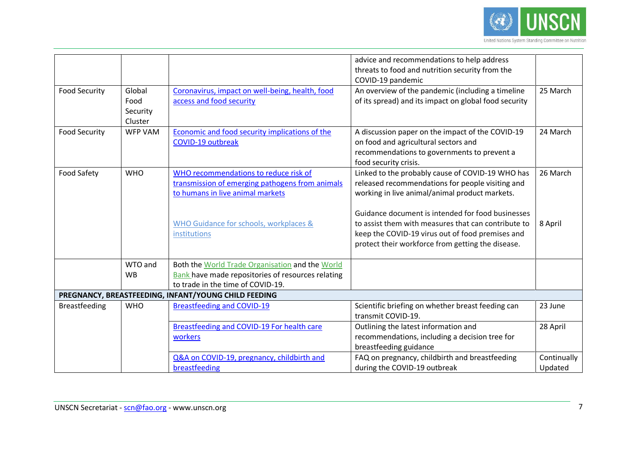

|                      |                                       |                                                                                                                                                                                        | advice and recommendations to help address<br>threats to food and nutrition security from the<br>COVID-19 pandemic                                                                                                                                                                                                                                                          |                        |
|----------------------|---------------------------------------|----------------------------------------------------------------------------------------------------------------------------------------------------------------------------------------|-----------------------------------------------------------------------------------------------------------------------------------------------------------------------------------------------------------------------------------------------------------------------------------------------------------------------------------------------------------------------------|------------------------|
| <b>Food Security</b> | Global<br>Food<br>Security<br>Cluster | Coronavirus, impact on well-being, health, food<br>access and food security                                                                                                            | An overview of the pandemic (including a timeline<br>of its spread) and its impact on global food security                                                                                                                                                                                                                                                                  | 25 March               |
| <b>Food Security</b> | <b>WFP VAM</b>                        | Economic and food security implications of the<br><b>COVID-19 outbreak</b>                                                                                                             | A discussion paper on the impact of the COVID-19<br>on food and agricultural sectors and<br>recommendations to governments to prevent a<br>food security crisis.                                                                                                                                                                                                            | 24 March               |
| Food Safety          | <b>WHO</b>                            | WHO recommendations to reduce risk of<br>transmission of emerging pathogens from animals<br>to humans in live animal markets<br>WHO Guidance for schools, workplaces &<br>institutions | Linked to the probably cause of COVID-19 WHO has<br>released recommendations for people visiting and<br>working in live animal/animal product markets.<br>Guidance document is intended for food businesses<br>to assist them with measures that can contribute to<br>keep the COVID-19 virus out of food premises and<br>protect their workforce from getting the disease. | 26 March<br>8 April    |
|                      | WTO and<br><b>WB</b>                  | Both the World Trade Organisation and the World<br><b>Bank</b> have made repositories of resources relating<br>to trade in the time of COVID-19.                                       |                                                                                                                                                                                                                                                                                                                                                                             |                        |
|                      |                                       | PREGNANCY, BREASTFEEDING, INFANT/YOUNG CHILD FEEDING                                                                                                                                   |                                                                                                                                                                                                                                                                                                                                                                             |                        |
| <b>Breastfeeding</b> | <b>WHO</b>                            | <b>Breastfeeding and COVID-19</b><br>Breastfeeding and COVID-19 For health care                                                                                                        | Scientific briefing on whether breast feeding can<br>transmit COVID-19.<br>Outlining the latest information and                                                                                                                                                                                                                                                             | 23 June<br>28 April    |
|                      |                                       | workers                                                                                                                                                                                | recommendations, including a decision tree for<br>breastfeeding guidance                                                                                                                                                                                                                                                                                                    |                        |
|                      |                                       | Q&A on COVID-19, pregnancy, childbirth and<br>breastfeeding                                                                                                                            | FAQ on pregnancy, childbirth and breastfeeding<br>during the COVID-19 outbreak                                                                                                                                                                                                                                                                                              | Continually<br>Updated |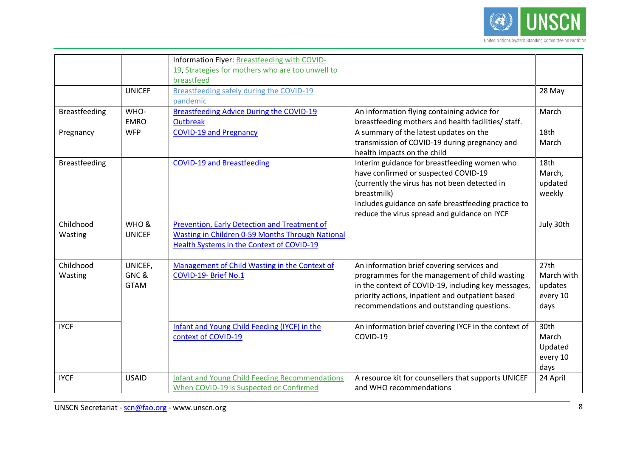

|               |               | Information Flyer: Breastfeeding with COVID-          |                                                      |            |
|---------------|---------------|-------------------------------------------------------|------------------------------------------------------|------------|
|               |               | 19, Strategies for mothers who are too unwell to      |                                                      |            |
|               |               | breastfeed                                            |                                                      |            |
|               | <b>UNICEF</b> | Breastfeeding safely during the COVID-19              |                                                      | 28 May     |
|               |               | pandemic                                              |                                                      |            |
| Breastfeeding | WHO-          | <b>Breastfeeding Advice During the COVID-19</b>       | An information flying containing advice for          | March      |
|               | <b>EMRO</b>   | <b>Outbreak</b>                                       | breastfeeding mothers and health facilities/ staff.  |            |
| Pregnancy     | <b>WFP</b>    | <b>COVID-19 and Pregnancy</b>                         | A summary of the latest updates on the               | 18th       |
|               |               |                                                       | transmission of COVID-19 during pregnancy and        | March      |
|               |               |                                                       | health impacts on the child                          |            |
| Breastfeeding |               | <b>COVID-19 and Breastfeeding</b>                     | Interim guidance for breastfeeding women who         | 18th       |
|               |               |                                                       | have confirmed or suspected COVID-19                 | March,     |
|               |               |                                                       | (currently the virus has not been detected in        | updated    |
|               |               |                                                       | breastmilk)                                          | weekly     |
|               |               |                                                       | Includes guidance on safe breastfeeding practice to  |            |
|               |               |                                                       | reduce the virus spread and guidance on IYCF         |            |
| Childhood     | WHO &         | Prevention, Early Detection and Treatment of          |                                                      | July 30th  |
| Wasting       | <b>UNICEF</b> | Wasting in Children 0-59 Months Through National      |                                                      |            |
|               |               | <b>Health Systems in the Context of COVID-19</b>      |                                                      |            |
|               |               |                                                       |                                                      |            |
| Childhood     | UNICEF,       | Management of Child Wasting in the Context of         | An information brief covering services and           | 27th       |
| Wasting       | GNC&          | COVID-19- Brief No.1                                  | programmes for the management of child wasting       | March with |
|               | <b>GTAM</b>   |                                                       | in the context of COVID-19, including key messages,  | updates    |
|               |               |                                                       | priority actions, inpatient and outpatient based     | every 10   |
|               |               |                                                       | recommendations and outstanding questions.           | days       |
|               |               |                                                       |                                                      |            |
| <b>IYCF</b>   |               | Infant and Young Child Feeding (IYCF) in the          | An information brief covering IYCF in the context of | 30th       |
|               |               | context of COVID-19                                   | COVID-19                                             | March      |
|               |               |                                                       |                                                      | Updated    |
|               |               |                                                       |                                                      | every 10   |
|               |               |                                                       |                                                      | days       |
| <b>IYCF</b>   | <b>USAID</b>  | <b>Infant and Young Child Feeding Recommendations</b> | A resource kit for counsellers that supports UNICEF  | 24 April   |
|               |               | When COVID-19 is Suspected or Confirmed               | and WHO recommendations                              |            |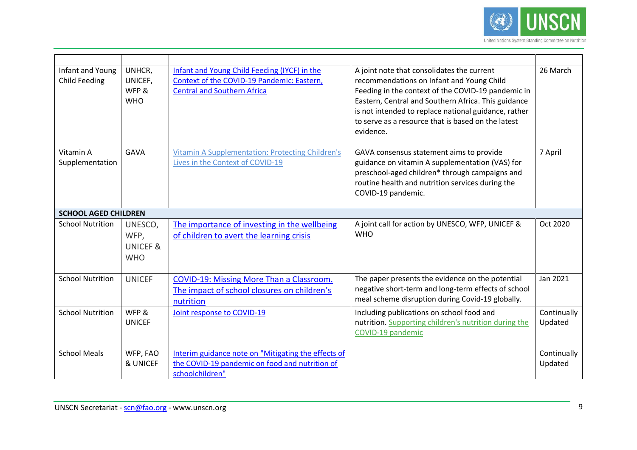

| Infant and Young<br><b>Child Feeding</b> | UNHCR,<br>UNICEF,<br>WFP &<br><b>WHO</b>             | Infant and Young Child Feeding (IYCF) in the<br>Context of the COVID-19 Pandemic: Eastern,<br><b>Central and Southern Africa</b> | A joint note that consolidates the current<br>recommendations on Infant and Young Child<br>Feeding in the context of the COVID-19 pandemic in<br>Eastern, Central and Southern Africa. This guidance<br>is not intended to replace national guidance, rather<br>to serve as a resource that is based on the latest<br>evidence. | 26 March               |
|------------------------------------------|------------------------------------------------------|----------------------------------------------------------------------------------------------------------------------------------|---------------------------------------------------------------------------------------------------------------------------------------------------------------------------------------------------------------------------------------------------------------------------------------------------------------------------------|------------------------|
| Vitamin A<br>Supplementation             | <b>GAVA</b>                                          | <b>Vitamin A Supplementation: Protecting Children's</b><br>Lives in the Context of COVID-19                                      | GAVA consensus statement aims to provide<br>guidance on vitamin A supplementation (VAS) for<br>preschool-aged children* through campaigns and<br>routine health and nutrition services during the<br>COVID-19 pandemic.                                                                                                         | 7 April                |
| <b>SCHOOL AGED CHILDREN</b>              |                                                      |                                                                                                                                  |                                                                                                                                                                                                                                                                                                                                 |                        |
| <b>School Nutrition</b>                  | UNESCO,<br>WFP,<br><b>UNICEF &amp;</b><br><b>WHO</b> | The importance of investing in the wellbeing<br>of children to avert the learning crisis                                         | A joint call for action by UNESCO, WFP, UNICEF &<br><b>WHO</b>                                                                                                                                                                                                                                                                  | Oct 2020               |
| <b>School Nutrition</b>                  | <b>UNICEF</b>                                        | COVID-19: Missing More Than a Classroom.<br>The impact of school closures on children's<br>nutrition                             | The paper presents the evidence on the potential<br>negative short-term and long-term effects of school<br>meal scheme disruption during Covid-19 globally.                                                                                                                                                                     | Jan 2021               |
| <b>School Nutrition</b>                  | WFP &<br><b>UNICEF</b>                               | Joint response to COVID-19                                                                                                       | Including publications on school food and<br>nutrition. Supporting children's nutrition during the<br>COVID-19 pandemic                                                                                                                                                                                                         | Continually<br>Updated |
| <b>School Meals</b>                      | WFP, FAO<br>& UNICEF                                 | Interim guidance note on "Mitigating the effects of<br>the COVID-19 pandemic on food and nutrition of<br>schoolchildren"         |                                                                                                                                                                                                                                                                                                                                 | Continually<br>Updated |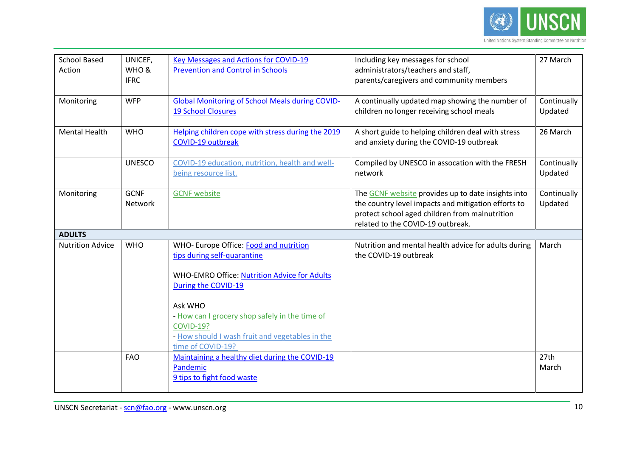

| <b>School Based</b><br>Action | UNICEF,<br>WHO &<br><b>IFRC</b> | Key Messages and Actions for COVID-19<br><b>Prevention and Control in Schools</b>                                                                                                                                                                                                                     | Including key messages for school<br>administrators/teachers and staff,<br>parents/caregivers and community members                                                                              | 27 March               |
|-------------------------------|---------------------------------|-------------------------------------------------------------------------------------------------------------------------------------------------------------------------------------------------------------------------------------------------------------------------------------------------------|--------------------------------------------------------------------------------------------------------------------------------------------------------------------------------------------------|------------------------|
| Monitoring                    | <b>WFP</b>                      | <b>Global Monitoring of School Meals during COVID-</b><br><b>19 School Closures</b>                                                                                                                                                                                                                   | A continually updated map showing the number of<br>children no longer receiving school meals                                                                                                     | Continually<br>Updated |
| <b>Mental Health</b>          | <b>WHO</b>                      | Helping children cope with stress during the 2019<br>COVID-19 outbreak                                                                                                                                                                                                                                | A short guide to helping children deal with stress<br>and anxiety during the COVID-19 outbreak                                                                                                   | 26 March               |
|                               | <b>UNESCO</b>                   | COVID-19 education, nutrition, health and well-<br>being resource list.                                                                                                                                                                                                                               | Compiled by UNESCO in assocation with the FRESH<br>network                                                                                                                                       | Continually<br>Updated |
| Monitoring                    | <b>GCNF</b><br>Network          | <b>GCNF</b> website                                                                                                                                                                                                                                                                                   | The GCNF website provides up to date insights into<br>the country level impacts and mitigation efforts to<br>protect school aged children from malnutrition<br>related to the COVID-19 outbreak. | Continually<br>Updated |
| <b>ADULTS</b>                 |                                 |                                                                                                                                                                                                                                                                                                       |                                                                                                                                                                                                  |                        |
| <b>Nutrition Advice</b>       | <b>WHO</b>                      | WHO- Europe Office: Food and nutrition<br>tips during self-quarantine<br>WHO-EMRO Office: Nutrition Advice for Adults<br>During the COVID-19<br>Ask WHO<br>- How can I grocery shop safely in the time of<br><b>COVID-19?</b><br>- How should I wash fruit and vegetables in the<br>time of COVID-19? | Nutrition and mental health advice for adults during<br>the COVID-19 outbreak                                                                                                                    | March                  |
|                               | <b>FAO</b>                      | Maintaining a healthy diet during the COVID-19<br>Pandemic<br>9 tips to fight food waste                                                                                                                                                                                                              |                                                                                                                                                                                                  | 27th<br>March          |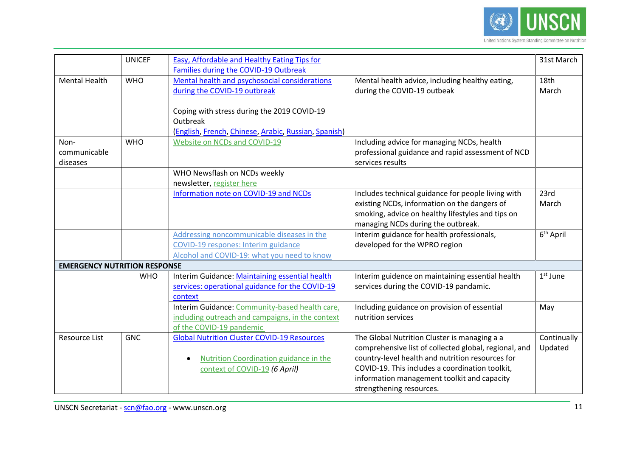

|                                     | <b>UNICEF</b> | Easy, Affordable and Healthy Eating Tips for<br>Families during the COVID-19 Outbreak                                                    |                                                                                                                                                                                                                                                                                         | 31st March             |
|-------------------------------------|---------------|------------------------------------------------------------------------------------------------------------------------------------------|-----------------------------------------------------------------------------------------------------------------------------------------------------------------------------------------------------------------------------------------------------------------------------------------|------------------------|
| <b>Mental Health</b>                | <b>WHO</b>    | Mental health and psychosocial considerations<br>during the COVID-19 outbreak<br>Coping with stress during the 2019 COVID-19<br>Outbreak | Mental health advice, including healthy eating,<br>during the COVID-19 outbeak                                                                                                                                                                                                          | 18th<br>March          |
|                                     |               | (English, French, Chinese, Arabic, Russian, Spanish)                                                                                     |                                                                                                                                                                                                                                                                                         |                        |
| Non-<br>communicable<br>diseases    | <b>WHO</b>    | Website on NCDs and COVID-19                                                                                                             | Including advice for managing NCDs, health<br>professional guidance and rapid assessment of NCD<br>services results                                                                                                                                                                     |                        |
|                                     |               | WHO Newsflash on NCDs weekly<br>newsletter, register here                                                                                |                                                                                                                                                                                                                                                                                         |                        |
|                                     |               | Information note on COVID-19 and NCDs                                                                                                    | Includes technical guidance for people living with<br>existing NCDs, information on the dangers of<br>smoking, advice on healthy lifestyles and tips on<br>managing NCDs during the outbreak.                                                                                           | 23rd<br>March          |
|                                     |               | Addressing noncommunicable diseases in the<br>COVID-19 respones: Interim guidance                                                        | Interim guidance for health professionals,<br>developed for the WPRO region                                                                                                                                                                                                             | 6 <sup>th</sup> April  |
|                                     |               | Alcohol and COVID-19: what you need to know                                                                                              |                                                                                                                                                                                                                                                                                         |                        |
| <b>EMERGENCY NUTRITION RESPONSE</b> |               |                                                                                                                                          |                                                                                                                                                                                                                                                                                         |                        |
|                                     | <b>WHO</b>    | Interim Guidance: Maintaining essential health<br>services: operational guidance for the COVID-19<br>context                             | Interim guidence on maintaining essential health<br>services during the COVID-19 pandamic.                                                                                                                                                                                              | $1st$ June             |
|                                     |               | Interim Guidance: Community-based health care,<br>including outreach and campaigns, in the context<br>of the COVID-19 pandemic           | Including guidance on provision of essential<br>nutrition services                                                                                                                                                                                                                      | May                    |
| Resource List                       | <b>GNC</b>    | <b>Global Nutrition Cluster COVID-19 Resources</b><br>Nutrition Coordination guidance in the<br>context of COVID-19 (6 April)            | The Global Nutrition Cluster is managing a a<br>comprehensive list of collected global, regional, and<br>country-level health and nutrition resources for<br>COVID-19. This includes a coordination toolkit,<br>information management toolkit and capacity<br>strengthening resources. | Continually<br>Updated |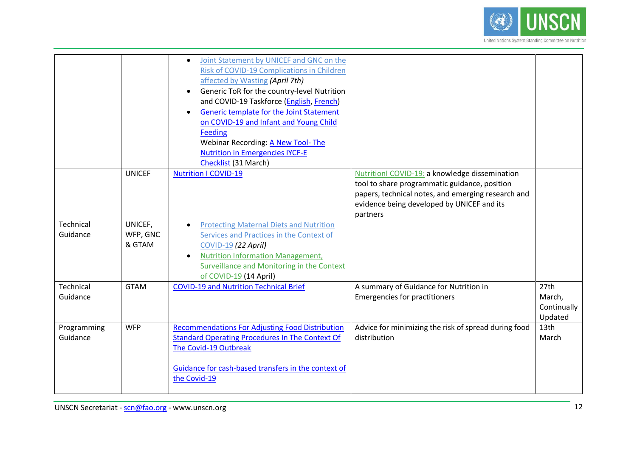

|             |               | Joint Statement by UNICEF and GNC on the<br>$\bullet$<br>Risk of COVID-19 Complications in Children<br>affected by Wasting (April 7th)<br>Generic ToR for the country-level Nutrition<br>$\bullet$<br>and COVID-19 Taskforce (English, French)<br>Generic template for the Joint Statement<br>$\bullet$<br>on COVID-19 and Infant and Young Child<br>Feeding<br><b>Webinar Recording: A New Tool- The</b><br><b>Nutrition in Emergencies IYCF-E</b><br>Checklist (31 March) |                                                                                                                                                                                                                 |             |
|-------------|---------------|-----------------------------------------------------------------------------------------------------------------------------------------------------------------------------------------------------------------------------------------------------------------------------------------------------------------------------------------------------------------------------------------------------------------------------------------------------------------------------|-----------------------------------------------------------------------------------------------------------------------------------------------------------------------------------------------------------------|-------------|
|             | <b>UNICEF</b> | <b>Nutrition I COVID-19</b>                                                                                                                                                                                                                                                                                                                                                                                                                                                 | NutritionI COVID-19: a knowledge dissemination<br>tool to share programmatic guidance, position<br>papers, technical notes, and emerging research and<br>evidence being developed by UNICEF and its<br>partners |             |
| Technical   | UNICEF,       | <b>Protecting Maternal Diets and Nutrition</b>                                                                                                                                                                                                                                                                                                                                                                                                                              |                                                                                                                                                                                                                 |             |
| Guidance    | WFP, GNC      | Services and Practices in the Context of                                                                                                                                                                                                                                                                                                                                                                                                                                    |                                                                                                                                                                                                                 |             |
|             |               |                                                                                                                                                                                                                                                                                                                                                                                                                                                                             |                                                                                                                                                                                                                 |             |
|             | & GTAM        | COVID-19 (22 April)                                                                                                                                                                                                                                                                                                                                                                                                                                                         |                                                                                                                                                                                                                 |             |
|             |               | <b>Nutrition Information Management,</b><br>$\bullet$                                                                                                                                                                                                                                                                                                                                                                                                                       |                                                                                                                                                                                                                 |             |
|             |               | Surveillance and Monitoring in the Context                                                                                                                                                                                                                                                                                                                                                                                                                                  |                                                                                                                                                                                                                 |             |
|             |               | of COVID-19 (14 April)                                                                                                                                                                                                                                                                                                                                                                                                                                                      |                                                                                                                                                                                                                 |             |
| Technical   | <b>GTAM</b>   | <b>COVID-19 and Nutrition Technical Brief</b>                                                                                                                                                                                                                                                                                                                                                                                                                               | A summary of Guidance for Nutrition in                                                                                                                                                                          | 27th        |
| Guidance    |               |                                                                                                                                                                                                                                                                                                                                                                                                                                                                             | <b>Emergencies for practitioners</b>                                                                                                                                                                            | March,      |
|             |               |                                                                                                                                                                                                                                                                                                                                                                                                                                                                             |                                                                                                                                                                                                                 | Continually |
|             |               |                                                                                                                                                                                                                                                                                                                                                                                                                                                                             |                                                                                                                                                                                                                 | Updated     |
| Programming | <b>WFP</b>    | <b>Recommendations For Adjusting Food Distribution</b>                                                                                                                                                                                                                                                                                                                                                                                                                      | Advice for minimizing the risk of spread during food                                                                                                                                                            | 13th        |
| Guidance    |               | <b>Standard Operating Procedures In The Context Of</b>                                                                                                                                                                                                                                                                                                                                                                                                                      | distribution                                                                                                                                                                                                    | March       |
|             |               | The Covid-19 Outbreak                                                                                                                                                                                                                                                                                                                                                                                                                                                       |                                                                                                                                                                                                                 |             |
|             |               |                                                                                                                                                                                                                                                                                                                                                                                                                                                                             |                                                                                                                                                                                                                 |             |
|             |               |                                                                                                                                                                                                                                                                                                                                                                                                                                                                             |                                                                                                                                                                                                                 |             |
|             |               | Guidance for cash-based transfers in the context of                                                                                                                                                                                                                                                                                                                                                                                                                         |                                                                                                                                                                                                                 |             |
|             |               | the Covid-19                                                                                                                                                                                                                                                                                                                                                                                                                                                                |                                                                                                                                                                                                                 |             |
|             |               |                                                                                                                                                                                                                                                                                                                                                                                                                                                                             |                                                                                                                                                                                                                 |             |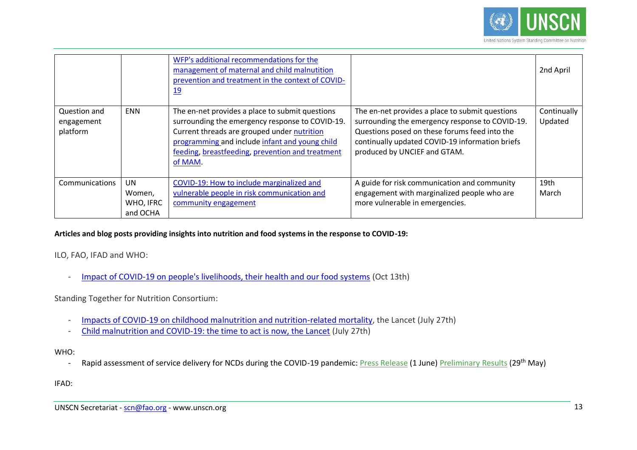

|                                        |                                              | WFP's additional recommendations for the<br>management of maternal and child malnutition<br>prevention and treatment in the context of COVID-<br><u>19</u>                                                                                                         |                                                                                                                                                                                                                                        | 2nd April              |
|----------------------------------------|----------------------------------------------|--------------------------------------------------------------------------------------------------------------------------------------------------------------------------------------------------------------------------------------------------------------------|----------------------------------------------------------------------------------------------------------------------------------------------------------------------------------------------------------------------------------------|------------------------|
| Question and<br>engagement<br>platform | <b>ENN</b>                                   | The en-net provides a place to submit questions<br>surrounding the emergency response to COVID-19.<br>Current threads are grouped under nutrition<br>programming and include infant and young child<br>feeding, breastfeeding, prevention and treatment<br>of MAM. | The en-net provides a place to submit questions<br>surrounding the emergency response to COVID-19.<br>Questions posed on these forums feed into the<br>continually updated COVID-19 information briefs<br>produced by UNCIEF and GTAM. | Continually<br>Updated |
| Communications                         | <b>UN</b><br>Women,<br>WHO, IFRC<br>and OCHA | COVID-19: How to include marginalized and<br>vulnerable people in risk communication and<br>community engagement                                                                                                                                                   | A guide for risk communication and community<br>engagement with marginalized people who are<br>more vulnerable in emergencies.                                                                                                         | 19th<br>March          |

# **Articles and blog posts providing insights into nutrition and food systems in the response to COVID-19:**

ILO, FAO, IFAD and WHO:

- [Impact of COVID-19 on people's livelihoods, their health and our food systems](https://www.who.int/news/item/13-10-2020-impact-of-covid-19-on-people) (Oct 13th)

Standing Together for Nutrition Consortium:

- [Impacts of COVID-19 on childhood malnutrition and nutrition-related mortality,](https://www.thelancet.com/pdfs/journals/lancet/PIIS0140-6736(20)31647-0.pdf) the Lancet (July 27th)
- [Child malnutrition and COVID-19: the time to act is now, the Lancet](https://www.thelancet.com/journals/lancet/article/PIIS0140-6736(20)31648-2/fulltext) (July 27th)

#### WHO:

- Rapid assessment of service delivery for NCDs during the COVID-19 pandemic: [Press Release](https://www.who.int/news-room/detail/01-06-2020-covid-19-significantly-impacts-health-services-for-noncommunicable-diseases) (1 June) [Preliminary Results](https://www.who.int/who-documents-detail/rapid-assessment-of-service-delivery-for-ncds-during-the-covid-19-pandemic) (29<sup>th</sup> May)

IFAD: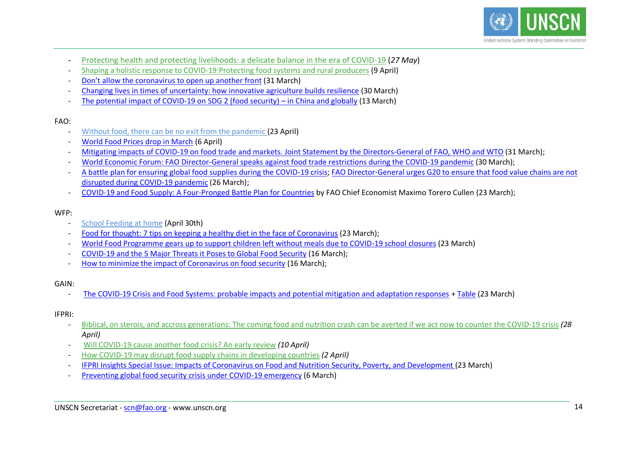

- [Protecting health and protecting livelihoods: a delicate balance in the era of COVID-19](https://www.ifad.org/en/web/latest/blog/asset/41939563) (*27 May*)
- [Shaping a holistic response to COVID-19:Protecting food systems and rural producers](https://www.ifad.org/en/web/latest/blog/asset/41863743) (9 April)
- Don't allow the corona[virus to open up another front](https://www.ifad.org/en/web/latest/blog/asset/41846623) (31 March)
- [Changing lives in times of uncertainty: how innovative agriculture builds resilience](https://www.ifad.org/en/web/latest/blog/asset/41842741) (30 March)
- [The potential impact of COVID-19 on SDG 2 \(food security\)](https://www.ifad.org/en/web/latest/blog/asset/41828816)  in China and globally (13 March)

# FAO:

- [Without food, there can be no exit from the pandemic](https://www.nature.com/articles/d41586-020-01181-3) (23 April)
- [World Food Prices drop in March](http://www.fao.org/news/story/en/item/1269050/icode/) (6 April)
- [Mitigating impacts of COVID-19 on food trade and markets.](http://www.fao.org/news/story/en/item/1268719/icode/?platform=hootsuite) Joint Statement by the Directors-General of FAO, WHO and WTO (31 March);
- [World Economic Forum: FAO Director-General speaks against food trade restrictions during the COVID-19 pandemic](http://www.fao.org/director-general/news/news-article/en/c/1268825/?platform=hootsuite) (30 March);
- [A battle plan for ensuring global food supplies during the COVID-19 crisis;](http://www.fao.org/news/story/en/item/1268059/icode/) FAO Director-General urges G20 to ensure that food value chains are not [disrupted during COVID-19 pandemic](http://www.fao.org/news/story/en/item/1268254/icode/) (26 March);
- [COVID-19 and Food Supply: A Four-Pronged Battle Plan for](https://maximotorero.com/2020/03/23/covid-19-and-food-supply-a-four-pronged-battle-plan-for-countries/) Countries by FAO Chief Economist Maximo Torero Cullen (23 March);

# WFP:

- [School Feeding at home](https://insight.wfp.org/school-feeding-at-home-95ff24a2c78) (April 30th)
- [Food for thought: 7 tips on keeping a healthy diet in the face of Coronavirus](https://insight.wfp.org/food-for-thought-7-tips-on-keeping-a-healthy-diet-in-the-face-of-coronavirus-7fab7f06177) (23 March);
- [World Food Programme gears up to support children left without meals due to COVID-19 school closures](https://www.wfp.org/news/world-food-programme-gears-support-children-left-without-meals-due-covid-19-school-closures) (23 March)
- [COVID-19 and the 5 Major Threats it Poses to Global Food](https://www.wfpusa.org/articles/covid-19-and-global-food-security/) Security (16 March);
- [How to minimize the impact of Coronavirus on food security](https://insight.wfp.org/how-to-minimize-the-impact-of-coronavirus-on-food-security-be2fa7885d7e) (16 March);

# GAIN:

- [The COVID-19 Crisis and Food Systems: probable impacts and potential mitigation and adaptation responses](https://www.gainhealth.org/media/news/covid-19-crisis-and-food-systems-addressing-threats-creating-opportunities) + [Table](https://www.gainhealth.org/sites/default/files/news/documents/covid-19-crisis-and-food-systems-probable-impacts-and-potential-mitigation-and-adaptation-responses.pdf) (23 March)

# IFPRI:

- [Biblical, on sterois, and accross generations: The coming food and nutrition crash can be averted if we act now to counter the COVID-19 crisis](https://www.ifpri.org/blog/biblical-steroids-and-across-generations-coming-food-and-nutrition-crash-can-be-averted-if-we) *(28 April)*
- [Will COVID-19 cause another food crisis? An early review](https://www.ifpri.org/blog/will-covid-19-cause-another-food-crisis-early-review) *(10 April)*
- [How COVID-19 may disrupt food supply chains in developing countries](https://www.ifpri.org/blog/how-covid-19-may-disrupt-food-supply-chains-developing-countries) *(2 April)*
- [IFPRI Insights Special Issue: Impacts of Coronavirus on Food and Nutrition Security, Poverty, and Development](https://www.ifpri.org/newsletter/ifpri-insights-special-issue-impacts-coronavirus-food-and-nutrition-security-poverty-and) [\(](https://www.ifpri.org/newsletter/ifpri-insights-special-issue-impacts-coronavirus-food-and-nutrition-security-poverty-and)23 March)
- [Preventing global food security crisis under COVID-19 emergency](https://www.ifpri.org/blog/preventing-global-food-security-crisis-under-covid-19-emergency) (6 March)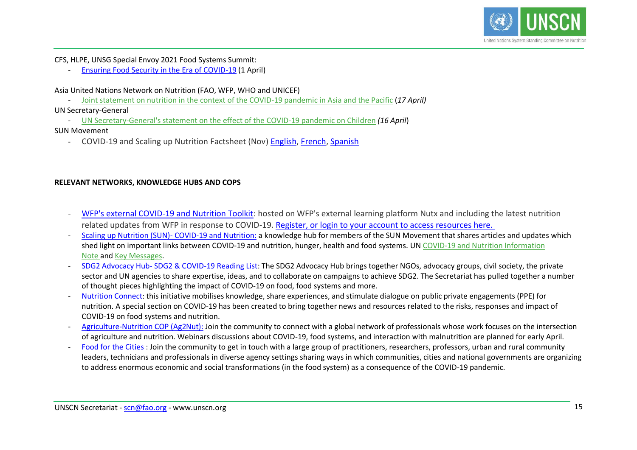

CFS, HLPE, UNSG Special Envoy 2021 Food Systems Summit:

- [Ensuring Food Security in the Era of COVID-19](https://www.project-syndicate.org/commentary/covid19-threatens-to-unleash-global-food-insecurity-by-thanawat-tiensin-et-al-2020-03) (1 April)

Asia United Nations Network on Nutrition (FAO, WFP, WHO and UNICEF)

- [Joint statement on nutrition in the context of the COVID-19 pandemic in Asia and the Pacific](https://www.unicef.org/rosa/press-releases/joint-statement-nutrition-context-covid-19-pandemic-asia-and-pacific) (*17 April)*

UN Secretary-General

- UN [Secretary-General's statement on the effect of the COVID-19 pandemic on Children](https://www.un.org/sg/en/content/sg/statement/2020-04-16/secretary-generals-statement-the-effect-of-the-covid-19-pandemic-children-scroll-down-for-french-version) *(16 April*)

#### SUN Movement

- COVID-19 and Scaling up Nutrition Factsheet (Nov) [English,](https://scalingupnutrition.org/wp-content/uploads/2020/11/COVID-19-factsheet_NOV_EN.pdf?utm_medium=email&utm_campaign=SUN%20Movement%20Newsletter%20-%20November%202020&utm_content=SUN%20Movement%20Newsletter%20-%20November%202020+CID_5b3605132a31820b7df380c4d1559804&utm_source=Email%20marketing%20software&utm_term=read%20more) [French,](https://scalingupnutrition.org/wp-content/uploads/2020/11/COVID-19-factsheet_NOV_FR.pdf?utm_medium=email&utm_campaign=SUN%20Movement%20Newsletter%20-%20November%202020&utm_content=SUN%20Movement%20Newsletter%20-%20November%202020+CID_5b3605132a31820b7df380c4d1559804&utm_source=Email%20marketing%20software&utm_term=en%20savoir%20plus) [Spanish](https://scalingupnutrition.org/wp-content/uploads/2020/11/COVID-19-factsheet_NOV_SP.pdf?utm_medium=email&utm_campaign=SUN%20Movement%20Newsletter%20-%20November%202020&utm_content=SUN%20Movement%20Newsletter%20-%20November%202020+CID_5b3605132a31820b7df380c4d1559804&utm_source=Email%20marketing%20software&utm_term=leer%20ms)

# **RELEVANT NETWORKS, KNOWLEDGE HUBS AND COPS**

- [WFP's external COVID-19 and Nutrition Toolkit:](https://wfp.eu.crossknowledge.com/site/channel/478) hosted on WFP's external learning platform Nutx and including the latest nutrition related updates from WFP in response to COVID-19. [Register, or login to your account to access resources here.](https://wfp.eu.crossknowledge.com/)
- [Scaling up Nutrition \(SUN\)-](https://scalingupnutrition.org/covid19/) COVID-19 and Nutrition: a knowledge hub for members of the SUN Movement that shares articles and updates which shed light on important links between COVID-19 and nutrition, hunger, health and food systems. UN [COVID-19 and Nutrition Information](https://scalingupnutrition.org/wp-content/uploads/2020/04/SUN-COVID-19_InformationNote_ENG.pdf)  [Note](https://scalingupnutrition.org/wp-content/uploads/2020/04/SUN-COVID-19_InformationNote_ENG.pdf) and [Key Messages.](https://scalingupnutrition.org/wp-content/uploads/2020/04/SUN-COVID-19-KeyMessages_ENG.pdf)
- SDG2 Advocacy Hub- [SDG2 & COVID-19 Reading List:](http://sdg2advocacyhub.org/news/sdg2-covid-19-reading-list) The SDG2 Advocacy Hub brings together NGOs, advocacy groups, civil society, the private sector and UN agencies to share expertise, ideas, and to collaborate on campaigns to achieve SDG2. The Secretariat has pulled together a number of thought pieces highlighting the impact of COVID-19 on food, food systems and more.
- [Nutrition Connect:](https://nutritionconnect.org/covid-19) this initiative mobilises knowledge, share experiences, and stimulate dialogue on public private engagements (PPE) for nutrition. A special section on COVID-19 has been created to bring together news and resources related to the risks, responses and impact of COVID-19 on food systems and nutrition.
- [Agriculture-Nutrition COP \(Ag2Nut\):](https://www.unscn.org/en/forums/discussion-groups/ag2nut) Join the community to connect with a global network of professionals whose work focuses on the intersection of agriculture and nutrition. Webinars discussions about COVID-19, food systems, and interaction with malnutrition are planned for early April.
- [Food for the Cities](https://dgroups.org/fao/food-for-cities) : Join the community to get in touch with a large group of practitioners, researchers, professors, urban and rural community leaders, technicians and professionals in diverse agency settings sharing ways in which communities, cities and national governments are organizing to address enormous economic and social transformations (in the food system) as a consequence of the COVID-19 pandemic.